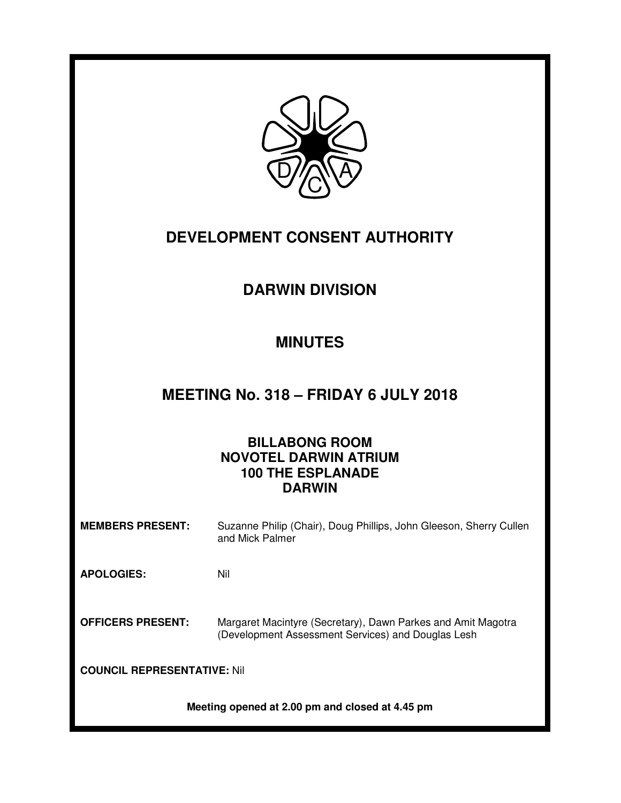

# **DEVELOPMENT CONSENT AUTHORITY**

# **DARWIN DIVISION**

# **MINUTES**

# **MEETING No. 318 – FRIDAY 6 JULY 2018**

# **BILLABONG ROOM NOVOTEL DARWIN ATRIUM 100 THE ESPLANADE DARWIN**

**MEMBERS PRESENT:** Suzanne Philip (Chair), Doug Phillips, John Gleeson, Sherry Cullen and Mick Palmer

**APOLOGIES:** Nil

**OFFICERS PRESENT:** Margaret Macintyre (Secretary), Dawn Parkes and Amit Magotra (Development Assessment Services) and Douglas Lesh

**COUNCIL REPRESENTATIVE:** Nil

**Meeting opened at 2.00 pm and closed at 4.45 pm**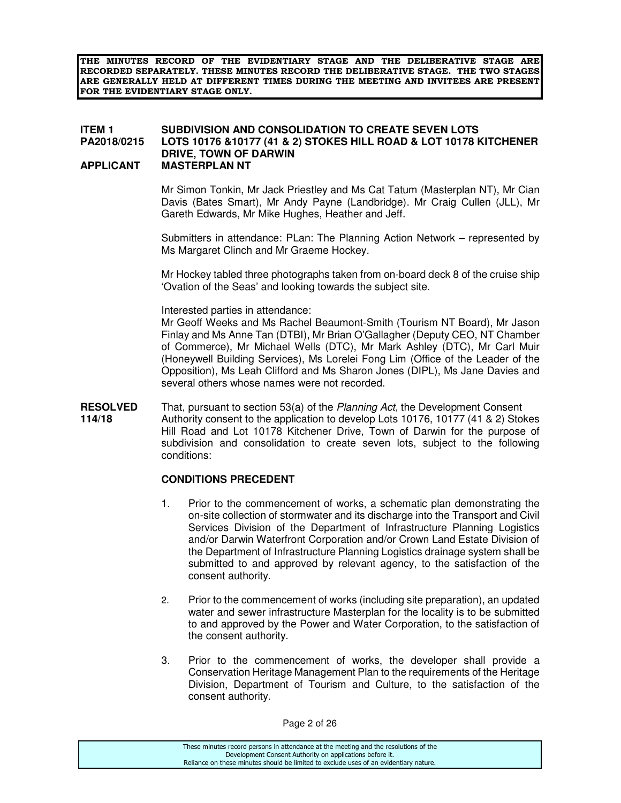**THE MINUTES RECORD OF THE EVIDENTIARY STAGE AND THE DELIBERATIVE STAGE ARE RECORDED SEPARATELY. THESE MINUTES RECORD THE DELIBERATIVE STAGE. THE TWO STAGES ARE GENERALLY HELD AT DIFFERENT TIMES DURING THE MEETING AND INVITEES ARE PRESENT FOR THE EVIDENTIARY STAGE ONLY.** 

#### **ITEM 1** SUBDIVISION AND CONSOLIDATION TO CREATE SEVEN LOTS<br>PA2018/0215 LOTS 10176 &10177 (41 & 2) STOKES HILL ROAD & LOT 10178 H **PA2018/0215 LOTS 10176 &10177 (41 & 2) STOKES HILL ROAD & LOT 10178 KITCHENER DRIVE, TOWN OF DARWIN APPLICANT MASTERPLAN NT**

 Mr Simon Tonkin, Mr Jack Priestley and Ms Cat Tatum (Masterplan NT), Mr Cian Davis (Bates Smart), Mr Andy Payne (Landbridge). Mr Craig Cullen (JLL), Mr Gareth Edwards, Mr Mike Hughes, Heather and Jeff.

 Submitters in attendance: PLan: The Planning Action Network – represented by Ms Margaret Clinch and Mr Graeme Hockey.

 Mr Hockey tabled three photographs taken from on-board deck 8 of the cruise ship 'Ovation of the Seas' and looking towards the subject site.

Interested parties in attendance:

 Mr Geoff Weeks and Ms Rachel Beaumont-Smith (Tourism NT Board), Mr Jason Finlay and Ms Anne Tan (DTBI), Mr Brian O'Gallagher (Deputy CEO, NT Chamber of Commerce), Mr Michael Wells (DTC), Mr Mark Ashley (DTC), Mr Carl Muir (Honeywell Building Services), Ms Lorelei Fong Lim (Office of the Leader of the Opposition), Ms Leah Clifford and Ms Sharon Jones (DIPL), Ms Jane Davies and several others whose names were not recorded.

**RESOLVED** That, pursuant to section 53(a) of the *Planning Act*, the Development Consent 114/18 Authority consent to the application to develop Lots 10176, 10177 (41 & 2) Stol **114/18** Authority consent to the application to develop Lots 10176, 10177 (41 & 2) Stokes Hill Road and Lot 10178 Kitchener Drive, Town of Darwin for the purpose of subdivision and consolidation to create seven lots, subject to the following conditions:

#### **CONDITIONS PRECEDENT**

- 1. Prior to the commencement of works, a schematic plan demonstrating the on-site collection of stormwater and its discharge into the Transport and Civil Services Division of the Department of Infrastructure Planning Logistics and/or Darwin Waterfront Corporation and/or Crown Land Estate Division of the Department of Infrastructure Planning Logistics drainage system shall be submitted to and approved by relevant agency, to the satisfaction of the consent authority.
- 2. Prior to the commencement of works (including site preparation), an updated water and sewer infrastructure Masterplan for the locality is to be submitted to and approved by the Power and Water Corporation, to the satisfaction of the consent authority.
- 3. Prior to the commencement of works, the developer shall provide a Conservation Heritage Management Plan to the requirements of the Heritage Division, Department of Tourism and Culture, to the satisfaction of the consent authority.

| These minutes record persons in attendance at the meeting and the resolutions of the  |
|---------------------------------------------------------------------------------------|
| Development Consent Authority on applications before it.                              |
| Reliance on these minutes should be limited to exclude uses of an evidentiary nature. |
|                                                                                       |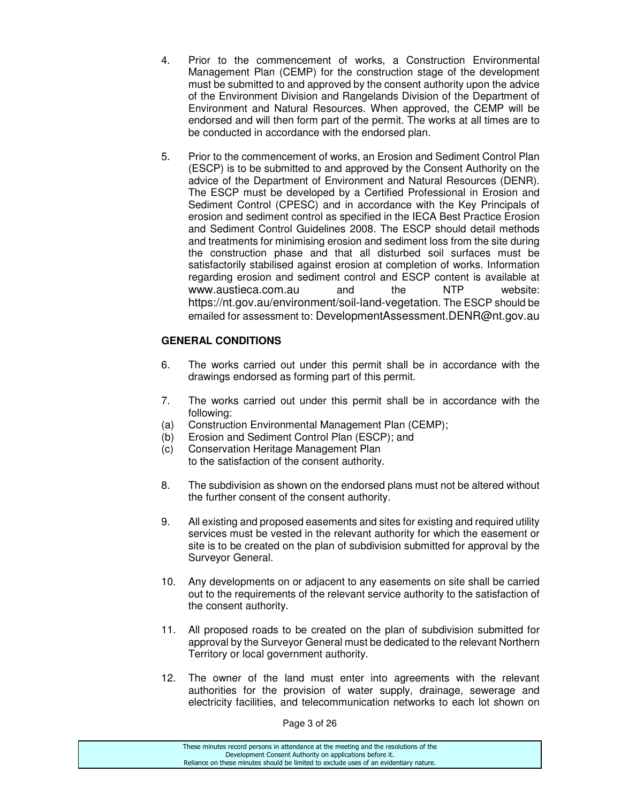- 4. Prior to the commencement of works, a Construction Environmental Management Plan (CEMP) for the construction stage of the development must be submitted to and approved by the consent authority upon the advice of the Environment Division and Rangelands Division of the Department of Environment and Natural Resources. When approved, the CEMP will be endorsed and will then form part of the permit. The works at all times are to be conducted in accordance with the endorsed plan.
- 5. Prior to the commencement of works, an Erosion and Sediment Control Plan (ESCP) is to be submitted to and approved by the Consent Authority on the advice of the Department of Environment and Natural Resources (DENR). The ESCP must be developed by a Certified Professional in Erosion and Sediment Control (CPESC) and in accordance with the Key Principals of erosion and sediment control as specified in the IECA Best Practice Erosion and Sediment Control Guidelines 2008. The ESCP should detail methods and treatments for minimising erosion and sediment loss from the site during the construction phase and that all disturbed soil surfaces must be satisfactorily stabilised against erosion at completion of works. Information regarding erosion and sediment control and ESCP content is available at www.austieca.com.au and the NTP website: https://nt.gov.au/environment/soil-land-vegetation. The ESCP should be emailed for assessment to: DevelopmentAssessment.DENR@nt.gov.au

# **GENERAL CONDITIONS**

- 6. The works carried out under this permit shall be in accordance with the drawings endorsed as forming part of this permit.
- 7. The works carried out under this permit shall be in accordance with the following:
- (a) Construction Environmental Management Plan (CEMP);
- (b) Erosion and Sediment Control Plan (ESCP); and
- (c) Conservation Heritage Management Plan to the satisfaction of the consent authority.
- 8. The subdivision as shown on the endorsed plans must not be altered without the further consent of the consent authority.
- 9. All existing and proposed easements and sites for existing and required utility services must be vested in the relevant authority for which the easement or site is to be created on the plan of subdivision submitted for approval by the Surveyor General.
- 10. Any developments on or adjacent to any easements on site shall be carried out to the requirements of the relevant service authority to the satisfaction of the consent authority.
- 11. All proposed roads to be created on the plan of subdivision submitted for approval by the Surveyor General must be dedicated to the relevant Northern Territory or local government authority.
- 12. The owner of the land must enter into agreements with the relevant authorities for the provision of water supply, drainage, sewerage and electricity facilities, and telecommunication networks to each lot shown on

Page 3 of 26

| These minutes record persons in attendance at the meeting and the resolutions of the  |
|---------------------------------------------------------------------------------------|
| Development Consent Authority on applications before it.                              |
| Reliance on these minutes should be limited to exclude uses of an evidentiary nature. |
|                                                                                       |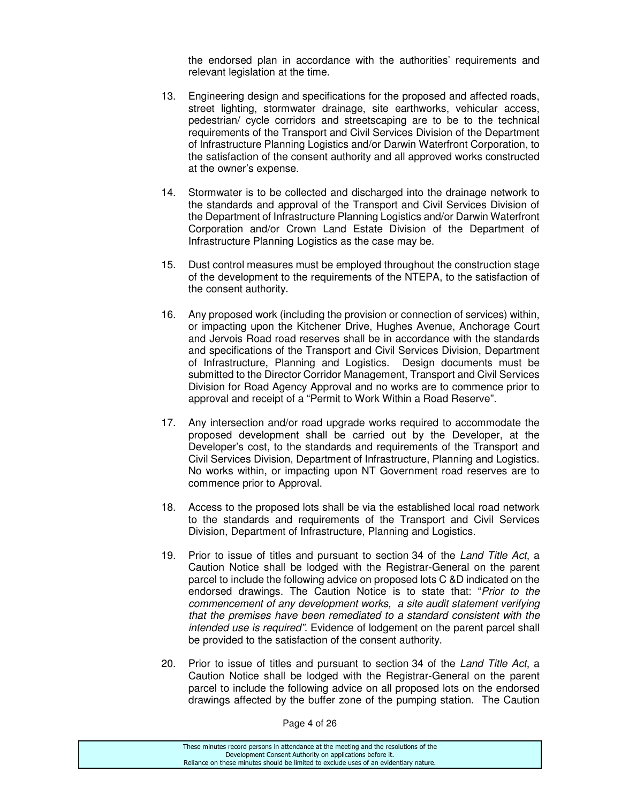the endorsed plan in accordance with the authorities' requirements and relevant legislation at the time.

- 13. Engineering design and specifications for the proposed and affected roads, street lighting, stormwater drainage, site earthworks, vehicular access, pedestrian/ cycle corridors and streetscaping are to be to the technical requirements of the Transport and Civil Services Division of the Department of Infrastructure Planning Logistics and/or Darwin Waterfront Corporation, to the satisfaction of the consent authority and all approved works constructed at the owner's expense.
- 14. Stormwater is to be collected and discharged into the drainage network to the standards and approval of the Transport and Civil Services Division of the Department of Infrastructure Planning Logistics and/or Darwin Waterfront Corporation and/or Crown Land Estate Division of the Department of Infrastructure Planning Logistics as the case may be.
- 15. Dust control measures must be employed throughout the construction stage of the development to the requirements of the NTEPA, to the satisfaction of the consent authority.
- 16. Any proposed work (including the provision or connection of services) within, or impacting upon the Kitchener Drive, Hughes Avenue, Anchorage Court and Jervois Road road reserves shall be in accordance with the standards and specifications of the Transport and Civil Services Division, Department of Infrastructure, Planning and Logistics. Design documents must be submitted to the Director Corridor Management, Transport and Civil Services Division for Road Agency Approval and no works are to commence prior to approval and receipt of a "Permit to Work Within a Road Reserve".
- 17. Any intersection and/or road upgrade works required to accommodate the proposed development shall be carried out by the Developer, at the Developer's cost, to the standards and requirements of the Transport and Civil Services Division, Department of Infrastructure, Planning and Logistics. No works within, or impacting upon NT Government road reserves are to commence prior to Approval.
- 18. Access to the proposed lots shall be via the established local road network to the standards and requirements of the Transport and Civil Services Division, Department of Infrastructure, Planning and Logistics.
- 19. Prior to issue of titles and pursuant to section 34 of the Land Title Act, a Caution Notice shall be lodged with the Registrar-General on the parent parcel to include the following advice on proposed lots C &D indicated on the endorsed drawings. The Caution Notice is to state that: "Prior to the commencement of any development works, a site audit statement verifying that the premises have been remediated to a standard consistent with the intended use is required". Evidence of lodgement on the parent parcel shall be provided to the satisfaction of the consent authority.
- 20. Prior to issue of titles and pursuant to section 34 of the Land Title Act, a Caution Notice shall be lodged with the Registrar-General on the parent parcel to include the following advice on all proposed lots on the endorsed drawings affected by the buffer zone of the pumping station. The Caution

Page 4 of 26

| These minutes record persons in attendance at the meeting and the resolutions of the  |
|---------------------------------------------------------------------------------------|
| Development Consent Authority on applications before it.                              |
| Reliance on these minutes should be limited to exclude uses of an evidentiary nature. |
|                                                                                       |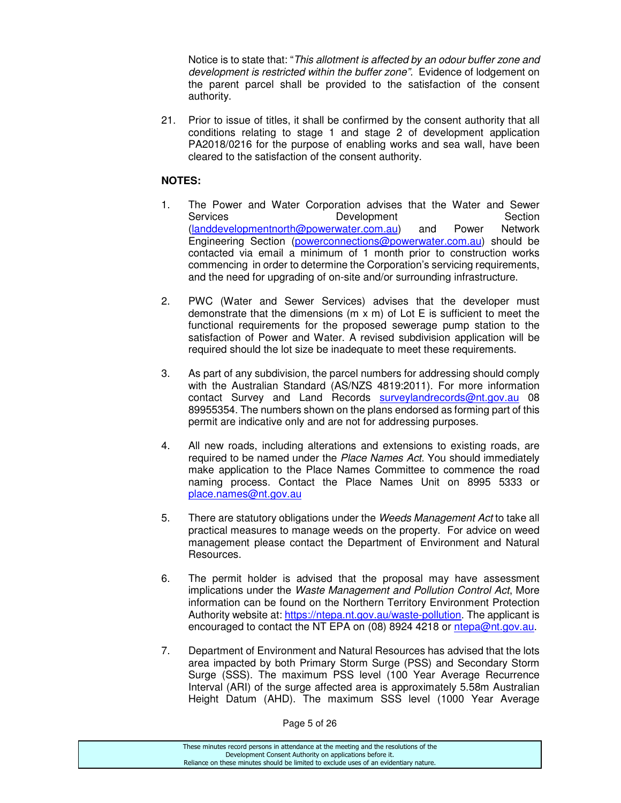Notice is to state that: "This allotment is affected by an odour buffer zone and development is restricted within the buffer zone". Evidence of lodgement on the parent parcel shall be provided to the satisfaction of the consent authority.

21. Prior to issue of titles, it shall be confirmed by the consent authority that all conditions relating to stage 1 and stage 2 of development application PA2018/0216 for the purpose of enabling works and sea wall, have been cleared to the satisfaction of the consent authority.

# **NOTES:**

- 1. The Power and Water Corporation advises that the Water and Sewer Services **Development** Section<br>
(landdevelopmentnorth@powerwater.com.au) and Power Network (landdevelopmentnorth@powerwater.com.au) and Power Engineering Section (powerconnections@powerwater.com.au) should be contacted via email a minimum of 1 month prior to construction works commencing in order to determine the Corporation's servicing requirements, and the need for upgrading of on-site and/or surrounding infrastructure.
- 2. PWC (Water and Sewer Services) advises that the developer must demonstrate that the dimensions ( $m \times m$ ) of Lot E is sufficient to meet the functional requirements for the proposed sewerage pump station to the satisfaction of Power and Water. A revised subdivision application will be required should the lot size be inadequate to meet these requirements.
- 3. As part of any subdivision, the parcel numbers for addressing should comply with the Australian Standard (AS/NZS 4819:2011). For more information contact Survey and Land Records surveylandrecords@nt.gov.au 08 89955354. The numbers shown on the plans endorsed as forming part of this permit are indicative only and are not for addressing purposes.
- 4. All new roads, including alterations and extensions to existing roads, are required to be named under the Place Names Act. You should immediately make application to the Place Names Committee to commence the road naming process. Contact the Place Names Unit on 8995 5333 or place.names@nt.gov.au
- 5. There are statutory obligations under the Weeds Management Act to take all practical measures to manage weeds on the property. For advice on weed management please contact the Department of Environment and Natural Resources.
- 6. The permit holder is advised that the proposal may have assessment implications under the Waste Management and Pollution Control Act, More information can be found on the Northern Territory Environment Protection Authority website at: https://ntepa.nt.gov.au/waste-pollution. The applicant is encouraged to contact the NT EPA on (08) 8924 4218 or ntepa@nt.gov.au.
- 7. Department of Environment and Natural Resources has advised that the lots area impacted by both Primary Storm Surge (PSS) and Secondary Storm Surge (SSS). The maximum PSS level (100 Year Average Recurrence Interval (ARI) of the surge affected area is approximately 5.58m Australian Height Datum (AHD). The maximum SSS level (1000 Year Average

Page 5 of 26

| These minutes record persons in attendance at the meeting and the resolutions of the<br>Development Consent Authority on applications before it. |  |
|--------------------------------------------------------------------------------------------------------------------------------------------------|--|
|                                                                                                                                                  |  |
|                                                                                                                                                  |  |
| Reliance on these minutes should be limited to exclude uses of an evidentiary nature.                                                            |  |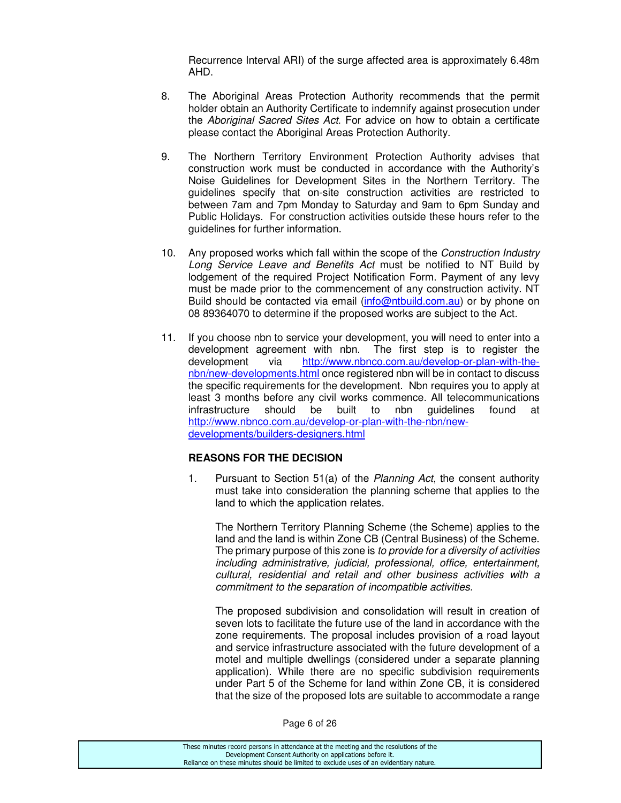Recurrence Interval ARI) of the surge affected area is approximately 6.48m AHD.

- 8. The Aboriginal Areas Protection Authority recommends that the permit holder obtain an Authority Certificate to indemnify against prosecution under the Aboriginal Sacred Sites Act. For advice on how to obtain a certificate please contact the Aboriginal Areas Protection Authority.
- 9. The Northern Territory Environment Protection Authority advises that construction work must be conducted in accordance with the Authority's Noise Guidelines for Development Sites in the Northern Territory. The guidelines specify that on-site construction activities are restricted to between 7am and 7pm Monday to Saturday and 9am to 6pm Sunday and Public Holidays. For construction activities outside these hours refer to the guidelines for further information.
- 10. Any proposed works which fall within the scope of the *Construction Industry* Long Service Leave and Benefits Act must be notified to NT Build by lodgement of the required Project Notification Form. Payment of any levy must be made prior to the commencement of any construction activity. NT Build should be contacted via email (info@ntbuild.com.au) or by phone on 08 89364070 to determine if the proposed works are subject to the Act.
- 11. If you choose nbn to service your development, you will need to enter into a development agreement with nbn. The first step is to register the development via http://www.nbnco.com.au/develop-or-plan-with-thenbn/new-developments.html once registered nbn will be in contact to discuss the specific requirements for the development. Nbn requires you to apply at least 3 months before any civil works commence. All telecommunications infrastructure should be built to nbn guidelines found at http://www.nbnco.com.au/develop-or-plan-with-the-nbn/newdevelopments/builders-designers.html

# **REASONS FOR THE DECISION**

1. Pursuant to Section 51(a) of the Planning Act, the consent authority must take into consideration the planning scheme that applies to the land to which the application relates.

The Northern Territory Planning Scheme (the Scheme) applies to the land and the land is within Zone CB (Central Business) of the Scheme. The primary purpose of this zone is to provide for a diversity of activities including administrative, judicial, professional, office, entertainment, cultural, residential and retail and other business activities with a commitment to the separation of incompatible activities.

The proposed subdivision and consolidation will result in creation of seven lots to facilitate the future use of the land in accordance with the zone requirements. The proposal includes provision of a road layout and service infrastructure associated with the future development of a motel and multiple dwellings (considered under a separate planning application). While there are no specific subdivision requirements under Part 5 of the Scheme for land within Zone CB, it is considered that the size of the proposed lots are suitable to accommodate a range

Page 6 of 26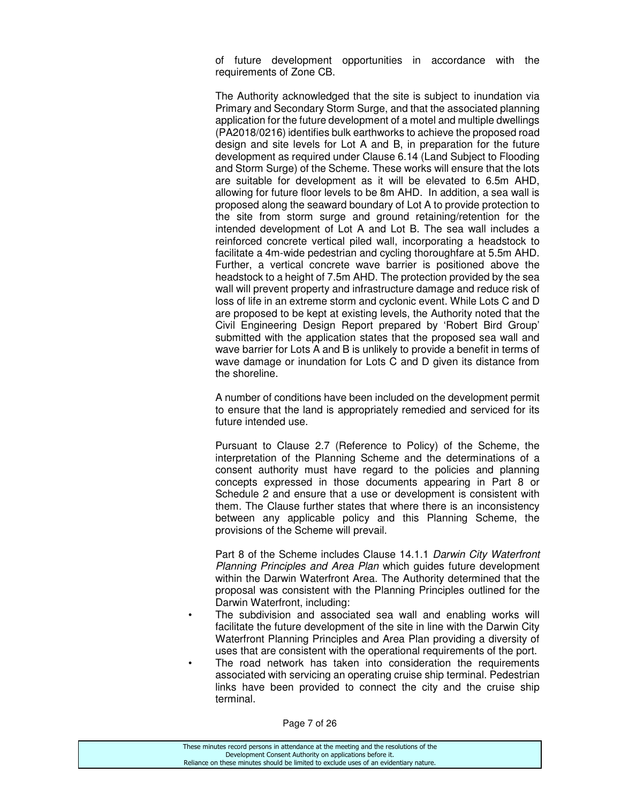of future development opportunities in accordance with the requirements of Zone CB.

The Authority acknowledged that the site is subject to inundation via Primary and Secondary Storm Surge, and that the associated planning application for the future development of a motel and multiple dwellings (PA2018/0216) identifies bulk earthworks to achieve the proposed road design and site levels for Lot A and B, in preparation for the future development as required under Clause 6.14 (Land Subject to Flooding and Storm Surge) of the Scheme. These works will ensure that the lots are suitable for development as it will be elevated to 6.5m AHD, allowing for future floor levels to be 8m AHD. In addition, a sea wall is proposed along the seaward boundary of Lot A to provide protection to the site from storm surge and ground retaining/retention for the intended development of Lot A and Lot B. The sea wall includes a reinforced concrete vertical piled wall, incorporating a headstock to facilitate a 4m-wide pedestrian and cycling thoroughfare at 5.5m AHD. Further, a vertical concrete wave barrier is positioned above the headstock to a height of 7.5m AHD. The protection provided by the sea wall will prevent property and infrastructure damage and reduce risk of loss of life in an extreme storm and cyclonic event. While Lots C and D are proposed to be kept at existing levels, the Authority noted that the Civil Engineering Design Report prepared by 'Robert Bird Group' submitted with the application states that the proposed sea wall and wave barrier for Lots A and B is unlikely to provide a benefit in terms of wave damage or inundation for Lots C and D given its distance from the shoreline.

 A number of conditions have been included on the development permit to ensure that the land is appropriately remedied and serviced for its future intended use.

 Pursuant to Clause 2.7 (Reference to Policy) of the Scheme, the interpretation of the Planning Scheme and the determinations of a consent authority must have regard to the policies and planning concepts expressed in those documents appearing in Part 8 or Schedule 2 and ensure that a use or development is consistent with them. The Clause further states that where there is an inconsistency between any applicable policy and this Planning Scheme, the provisions of the Scheme will prevail.

 Part 8 of the Scheme includes Clause 14.1.1 Darwin City Waterfront Planning Principles and Area Plan which guides future development within the Darwin Waterfront Area. The Authority determined that the proposal was consistent with the Planning Principles outlined for the Darwin Waterfront, including:

- The subdivision and associated sea wall and enabling works will facilitate the future development of the site in line with the Darwin City Waterfront Planning Principles and Area Plan providing a diversity of uses that are consistent with the operational requirements of the port.
- The road network has taken into consideration the requirements associated with servicing an operating cruise ship terminal. Pedestrian links have been provided to connect the city and the cruise ship terminal.

Page 7 of 26

| These minutes record persons in attendance at the meeting and the resolutions of the  |
|---------------------------------------------------------------------------------------|
| Development Consent Authority on applications before it.                              |
| Reliance on these minutes should be limited to exclude uses of an evidentiary nature. |
|                                                                                       |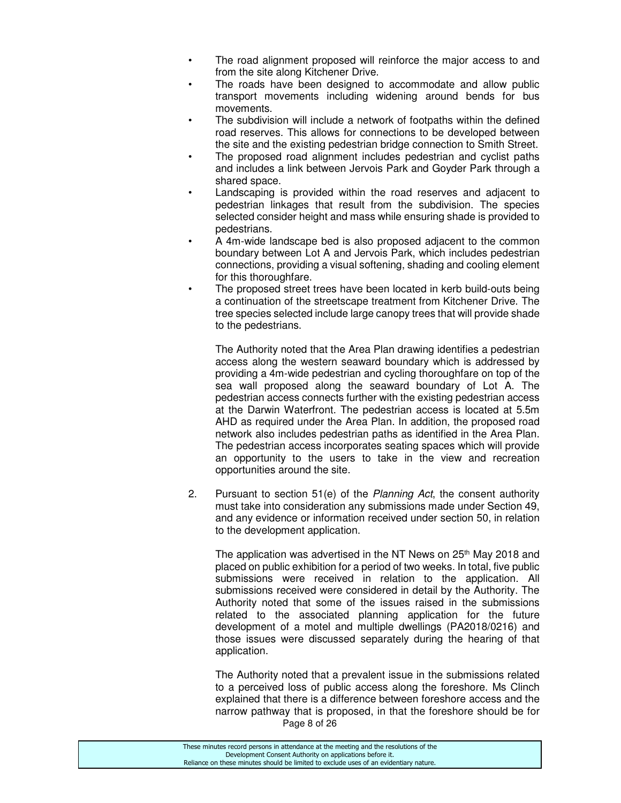- The road alignment proposed will reinforce the major access to and from the site along Kitchener Drive.
- The roads have been designed to accommodate and allow public transport movements including widening around bends for bus movements.
- The subdivision will include a network of footpaths within the defined road reserves. This allows for connections to be developed between the site and the existing pedestrian bridge connection to Smith Street.
- The proposed road alignment includes pedestrian and cyclist paths and includes a link between Jervois Park and Goyder Park through a shared space.
- Landscaping is provided within the road reserves and adjacent to pedestrian linkages that result from the subdivision. The species selected consider height and mass while ensuring shade is provided to pedestrians.
- A 4m-wide landscape bed is also proposed adjacent to the common boundary between Lot A and Jervois Park, which includes pedestrian connections, providing a visual softening, shading and cooling element for this thoroughfare.
- The proposed street trees have been located in kerb build-outs being a continuation of the streetscape treatment from Kitchener Drive. The tree species selected include large canopy trees that will provide shade to the pedestrians.

 The Authority noted that the Area Plan drawing identifies a pedestrian access along the western seaward boundary which is addressed by providing a 4m-wide pedestrian and cycling thoroughfare on top of the sea wall proposed along the seaward boundary of Lot A. The pedestrian access connects further with the existing pedestrian access at the Darwin Waterfront. The pedestrian access is located at 5.5m AHD as required under the Area Plan. In addition, the proposed road network also includes pedestrian paths as identified in the Area Plan. The pedestrian access incorporates seating spaces which will provide an opportunity to the users to take in the view and recreation opportunities around the site.

2. Pursuant to section 51(e) of the Planning Act, the consent authority must take into consideration any submissions made under Section 49, and any evidence or information received under section 50, in relation to the development application.

The application was advertised in the NT News on  $25<sup>th</sup>$  May 2018 and placed on public exhibition for a period of two weeks. In total, five public submissions were received in relation to the application. All submissions received were considered in detail by the Authority. The Authority noted that some of the issues raised in the submissions related to the associated planning application for the future development of a motel and multiple dwellings (PA2018/0216) and those issues were discussed separately during the hearing of that application.

Page 8 of 26 The Authority noted that a prevalent issue in the submissions related to a perceived loss of public access along the foreshore. Ms Clinch explained that there is a difference between foreshore access and the narrow pathway that is proposed, in that the foreshore should be for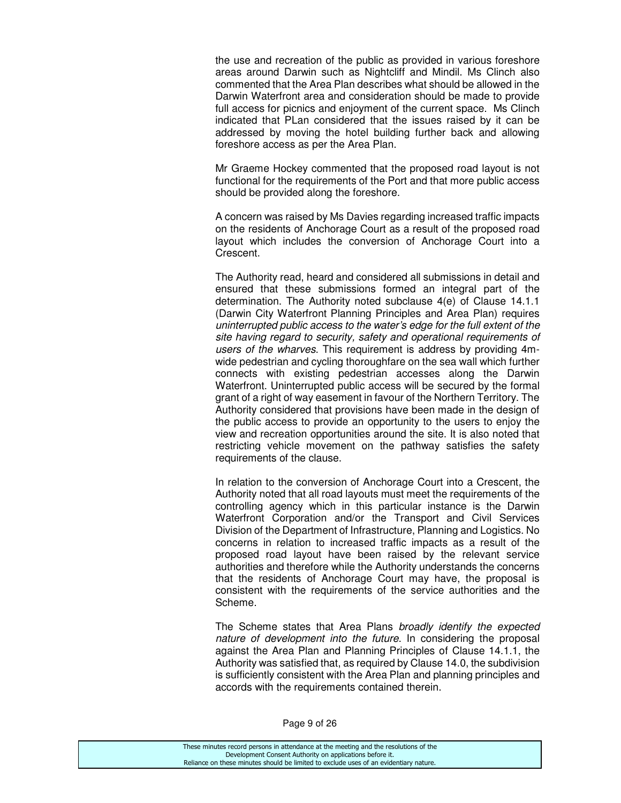the use and recreation of the public as provided in various foreshore areas around Darwin such as Nightcliff and Mindil. Ms Clinch also commented that the Area Plan describes what should be allowed in the Darwin Waterfront area and consideration should be made to provide full access for picnics and enjoyment of the current space. Ms Clinch indicated that PLan considered that the issues raised by it can be addressed by moving the hotel building further back and allowing foreshore access as per the Area Plan.

Mr Graeme Hockey commented that the proposed road layout is not functional for the requirements of the Port and that more public access should be provided along the foreshore.

A concern was raised by Ms Davies regarding increased traffic impacts on the residents of Anchorage Court as a result of the proposed road layout which includes the conversion of Anchorage Court into a Crescent.

The Authority read, heard and considered all submissions in detail and ensured that these submissions formed an integral part of the determination. The Authority noted subclause 4(e) of Clause 14.1.1 (Darwin City Waterfront Planning Principles and Area Plan) requires uninterrupted public access to the water's edge for the full extent of the site having regard to security, safety and operational requirements of users of the wharves. This requirement is address by providing 4mwide pedestrian and cycling thoroughfare on the sea wall which further connects with existing pedestrian accesses along the Darwin Waterfront. Uninterrupted public access will be secured by the formal grant of a right of way easement in favour of the Northern Territory. The Authority considered that provisions have been made in the design of the public access to provide an opportunity to the users to enjoy the view and recreation opportunities around the site. It is also noted that restricting vehicle movement on the pathway satisfies the safety requirements of the clause.

In relation to the conversion of Anchorage Court into a Crescent, the Authority noted that all road layouts must meet the requirements of the controlling agency which in this particular instance is the Darwin Waterfront Corporation and/or the Transport and Civil Services Division of the Department of Infrastructure, Planning and Logistics. No concerns in relation to increased traffic impacts as a result of the proposed road layout have been raised by the relevant service authorities and therefore while the Authority understands the concerns that the residents of Anchorage Court may have, the proposal is consistent with the requirements of the service authorities and the Scheme.

The Scheme states that Area Plans broadly identify the expected nature of development into the future. In considering the proposal against the Area Plan and Planning Principles of Clause 14.1.1, the Authority was satisfied that, as required by Clause 14.0, the subdivision is sufficiently consistent with the Area Plan and planning principles and accords with the requirements contained therein.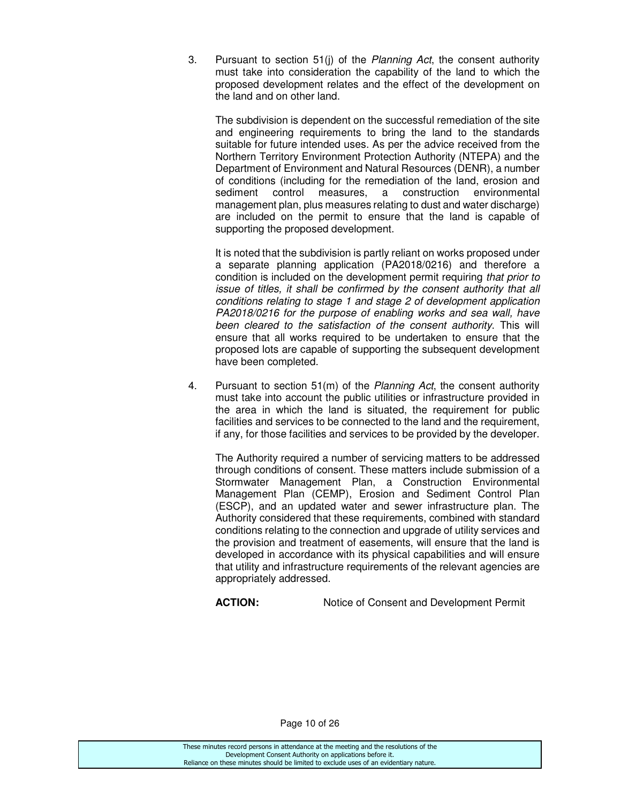3. Pursuant to section 51(j) of the Planning Act, the consent authority must take into consideration the capability of the land to which the proposed development relates and the effect of the development on the land and on other land.

The subdivision is dependent on the successful remediation of the site and engineering requirements to bring the land to the standards suitable for future intended uses. As per the advice received from the Northern Territory Environment Protection Authority (NTEPA) and the Department of Environment and Natural Resources (DENR), a number of conditions (including for the remediation of the land, erosion and sediment control measures, a construction environmental management plan, plus measures relating to dust and water discharge) are included on the permit to ensure that the land is capable of supporting the proposed development.

It is noted that the subdivision is partly reliant on works proposed under a separate planning application (PA2018/0216) and therefore a condition is included on the development permit requiring that prior to issue of titles, it shall be confirmed by the consent authority that all conditions relating to stage 1 and stage 2 of development application PA2018/0216 for the purpose of enabling works and sea wall, have been cleared to the satisfaction of the consent authority. This will ensure that all works required to be undertaken to ensure that the proposed lots are capable of supporting the subsequent development have been completed.

4. Pursuant to section 51(m) of the *Planning Act*, the consent authority must take into account the public utilities or infrastructure provided in the area in which the land is situated, the requirement for public facilities and services to be connected to the land and the requirement, if any, for those facilities and services to be provided by the developer.

The Authority required a number of servicing matters to be addressed through conditions of consent. These matters include submission of a Stormwater Management Plan, a Construction Environmental Management Plan (CEMP), Erosion and Sediment Control Plan (ESCP), and an updated water and sewer infrastructure plan. The Authority considered that these requirements, combined with standard conditions relating to the connection and upgrade of utility services and the provision and treatment of easements, will ensure that the land is developed in accordance with its physical capabilities and will ensure that utility and infrastructure requirements of the relevant agencies are appropriately addressed.

**ACTION:** Notice of Consent and Development Permit

Page 10 of 26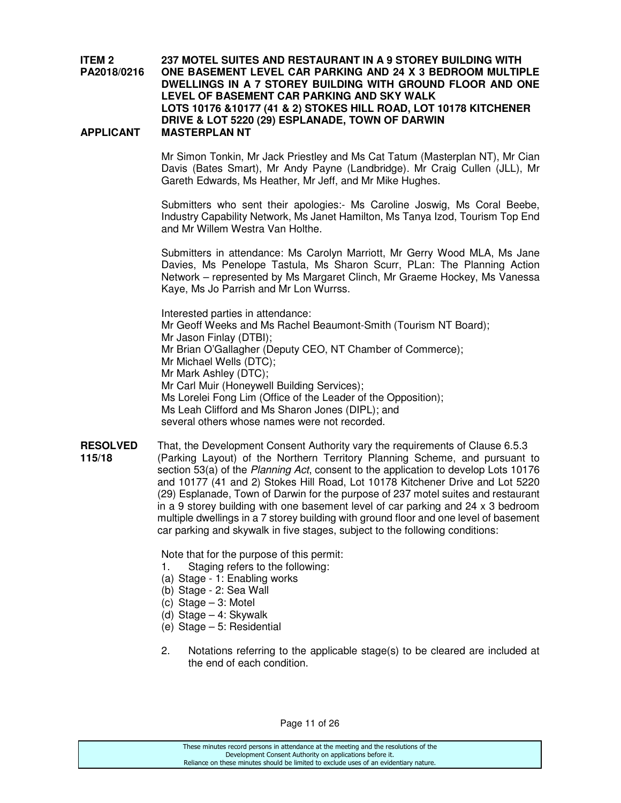#### **ITEM 2 237 MOTEL SUITES AND RESTAURANT IN A 9 STOREY BUILDING WITH PA2018/0216 ONE BASEMENT LEVEL CAR PARKING AND 24 X 3 BEDROOM MULTIPLE DWELLINGS IN A 7 STOREY BUILDING WITH GROUND FLOOR AND ONE LEVEL OF BASEMENT CAR PARKING AND SKY WALK LOTS 10176 &10177 (41 & 2) STOKES HILL ROAD, LOT 10178 KITCHENER DRIVE & LOT 5220 (29) ESPLANADE, TOWN OF DARWIN APPLICANT MASTERPLAN NT**

 Mr Simon Tonkin, Mr Jack Priestley and Ms Cat Tatum (Masterplan NT), Mr Cian Davis (Bates Smart), Mr Andy Payne (Landbridge). Mr Craig Cullen (JLL), Mr Gareth Edwards, Ms Heather, Mr Jeff, and Mr Mike Hughes.

 Submitters who sent their apologies:- Ms Caroline Joswig, Ms Coral Beebe, Industry Capability Network, Ms Janet Hamilton, Ms Tanya Izod, Tourism Top End and Mr Willem Westra Van Holthe.

 Submitters in attendance: Ms Carolyn Marriott, Mr Gerry Wood MLA, Ms Jane Davies, Ms Penelope Tastula, Ms Sharon Scurr, PLan: The Planning Action Network – represented by Ms Margaret Clinch, Mr Graeme Hockey, Ms Vanessa Kaye, Ms Jo Parrish and Mr Lon Wurrss.

 Interested parties in attendance: Mr Geoff Weeks and Ms Rachel Beaumont-Smith (Tourism NT Board); Mr Jason Finlay (DTBI); Mr Brian O'Gallagher (Deputy CEO, NT Chamber of Commerce); Mr Michael Wells (DTC); Mr Mark Ashley (DTC); Mr Carl Muir (Honeywell Building Services); Ms Lorelei Fong Lim (Office of the Leader of the Opposition); Ms Leah Clifford and Ms Sharon Jones (DIPL); and several others whose names were not recorded.

**RESOLVED** That, the Development Consent Authority vary the requirements of Clause 6.5.3 **115/18** (Parking Layout) of the Northern Territory Planning Scheme, and pursuant to section 53(a) of the *Planning Act*, consent to the application to develop Lots 10176 and 10177 (41 and 2) Stokes Hill Road, Lot 10178 Kitchener Drive and Lot 5220 (29) Esplanade, Town of Darwin for the purpose of 237 motel suites and restaurant in a 9 storey building with one basement level of car parking and 24 x 3 bedroom multiple dwellings in a 7 storey building with ground floor and one level of basement car parking and skywalk in five stages, subject to the following conditions:

Note that for the purpose of this permit:

- 1. Staging refers to the following:
- (a) Stage 1: Enabling works
- (b) Stage 2: Sea Wall
- (c) Stage 3: Motel
- (d) Stage 4: Skywalk
- (e) Stage 5: Residential
- 2. Notations referring to the applicable stage(s) to be cleared are included at the end of each condition.

Page 11 of 26

| These minutes record persons in attendance at the meeting and the resolutions of the  |
|---------------------------------------------------------------------------------------|
| Development Consent Authority on applications before it.                              |
| Reliance on these minutes should be limited to exclude uses of an evidentiary nature. |
|                                                                                       |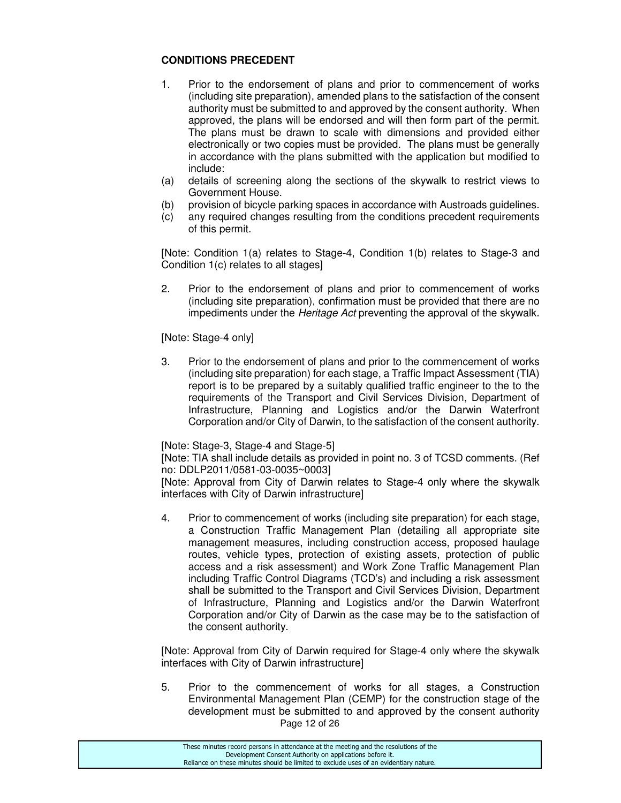# **CONDITIONS PRECEDENT**

- 1. Prior to the endorsement of plans and prior to commencement of works (including site preparation), amended plans to the satisfaction of the consent authority must be submitted to and approved by the consent authority. When approved, the plans will be endorsed and will then form part of the permit. The plans must be drawn to scale with dimensions and provided either electronically or two copies must be provided. The plans must be generally in accordance with the plans submitted with the application but modified to include:
- (a) details of screening along the sections of the skywalk to restrict views to Government House.
- (b) provision of bicycle parking spaces in accordance with Austroads guidelines.
- (c) any required changes resulting from the conditions precedent requirements of this permit.

[Note: Condition 1(a) relates to Stage-4, Condition 1(b) relates to Stage-3 and Condition 1(c) relates to all stages]

2. Prior to the endorsement of plans and prior to commencement of works (including site preparation), confirmation must be provided that there are no impediments under the Heritage Act preventing the approval of the skywalk.

#### [Note: Stage-4 only]

3. Prior to the endorsement of plans and prior to the commencement of works (including site preparation) for each stage, a Traffic Impact Assessment (TIA) report is to be prepared by a suitably qualified traffic engineer to the to the requirements of the Transport and Civil Services Division, Department of Infrastructure, Planning and Logistics and/or the Darwin Waterfront Corporation and/or City of Darwin, to the satisfaction of the consent authority.

#### [Note: Stage-3, Stage-4 and Stage-5]

[Note: TIA shall include details as provided in point no. 3 of TCSD comments. (Ref no: DDLP2011/0581-03-0035~0003]

[Note: Approval from City of Darwin relates to Stage-4 only where the skywalk interfaces with City of Darwin infrastructure]

4. Prior to commencement of works (including site preparation) for each stage, a Construction Traffic Management Plan (detailing all appropriate site management measures, including construction access, proposed haulage routes, vehicle types, protection of existing assets, protection of public access and a risk assessment) and Work Zone Traffic Management Plan including Traffic Control Diagrams (TCD's) and including a risk assessment shall be submitted to the Transport and Civil Services Division, Department of Infrastructure, Planning and Logistics and/or the Darwin Waterfront Corporation and/or City of Darwin as the case may be to the satisfaction of the consent authority.

[Note: Approval from City of Darwin required for Stage-4 only where the skywalk interfaces with City of Darwin infrastructure]

Page 12 of 26 5. Prior to the commencement of works for all stages, a Construction Environmental Management Plan (CEMP) for the construction stage of the development must be submitted to and approved by the consent authority

| These minutes record persons in attendance at the meeting and the resolutions of the  |  |
|---------------------------------------------------------------------------------------|--|
| Development Consent Authority on applications before it.                              |  |
| Reliance on these minutes should be limited to exclude uses of an evidentiary nature. |  |
|                                                                                       |  |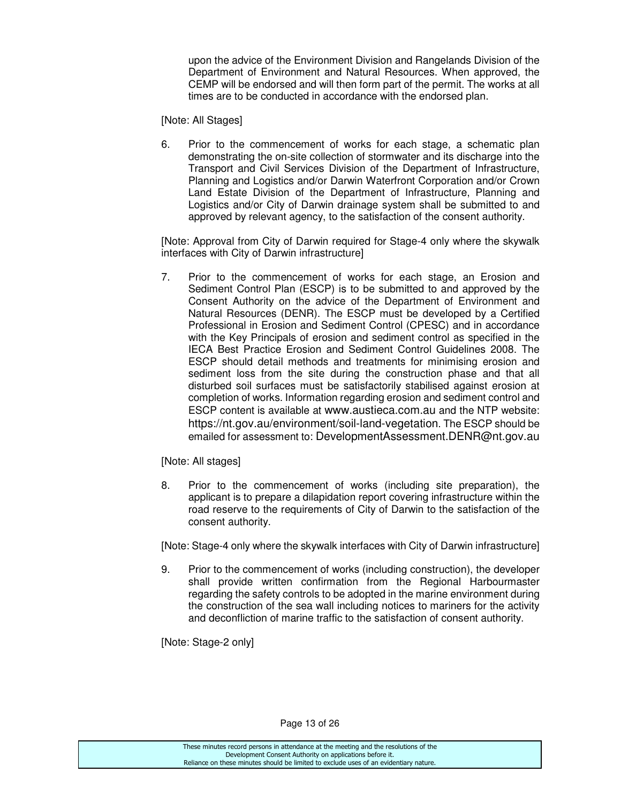upon the advice of the Environment Division and Rangelands Division of the Department of Environment and Natural Resources. When approved, the CEMP will be endorsed and will then form part of the permit. The works at all times are to be conducted in accordance with the endorsed plan.

[Note: All Stages]

6. Prior to the commencement of works for each stage, a schematic plan demonstrating the on-site collection of stormwater and its discharge into the Transport and Civil Services Division of the Department of Infrastructure, Planning and Logistics and/or Darwin Waterfront Corporation and/or Crown Land Estate Division of the Department of Infrastructure, Planning and Logistics and/or City of Darwin drainage system shall be submitted to and approved by relevant agency, to the satisfaction of the consent authority.

[Note: Approval from City of Darwin required for Stage-4 only where the skywalk interfaces with City of Darwin infrastructure]

7. Prior to the commencement of works for each stage, an Erosion and Sediment Control Plan (ESCP) is to be submitted to and approved by the Consent Authority on the advice of the Department of Environment and Natural Resources (DENR). The ESCP must be developed by a Certified Professional in Erosion and Sediment Control (CPESC) and in accordance with the Key Principals of erosion and sediment control as specified in the IECA Best Practice Erosion and Sediment Control Guidelines 2008. The ESCP should detail methods and treatments for minimising erosion and sediment loss from the site during the construction phase and that all disturbed soil surfaces must be satisfactorily stabilised against erosion at completion of works. Information regarding erosion and sediment control and ESCP content is available at www.austieca.com.au and the NTP website: https://nt.gov.au/environment/soil-land-vegetation. The ESCP should be emailed for assessment to: DevelopmentAssessment.DENR@nt.gov.au

[Note: All stages]

8. Prior to the commencement of works (including site preparation), the applicant is to prepare a dilapidation report covering infrastructure within the road reserve to the requirements of City of Darwin to the satisfaction of the consent authority.

[Note: Stage-4 only where the skywalk interfaces with City of Darwin infrastructure]

9. Prior to the commencement of works (including construction), the developer shall provide written confirmation from the Regional Harbourmaster regarding the safety controls to be adopted in the marine environment during the construction of the sea wall including notices to mariners for the activity and deconfliction of marine traffic to the satisfaction of consent authority.

[Note: Stage-2 only]

Page 13 of 26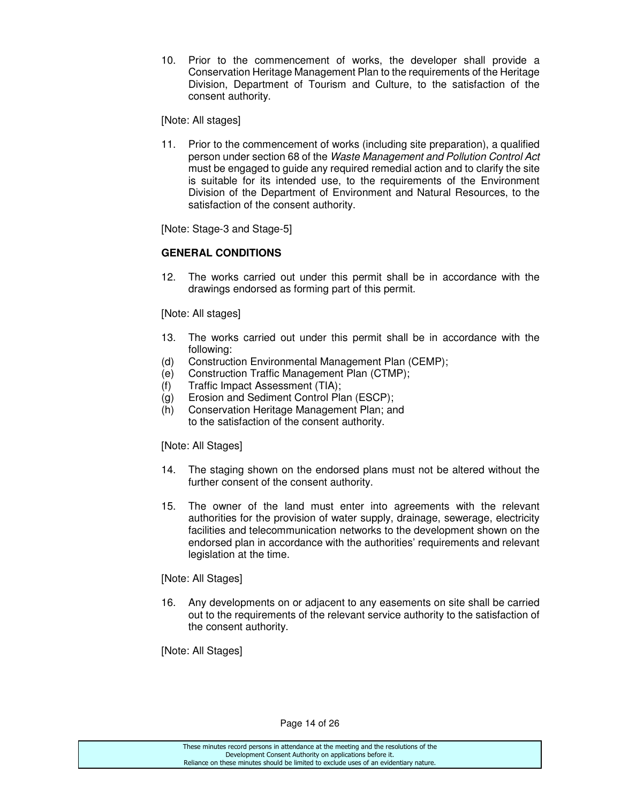10. Prior to the commencement of works, the developer shall provide a Conservation Heritage Management Plan to the requirements of the Heritage Division, Department of Tourism and Culture, to the satisfaction of the consent authority.

[Note: All stages]

11. Prior to the commencement of works (including site preparation), a qualified person under section 68 of the Waste Management and Pollution Control Act must be engaged to guide any required remedial action and to clarify the site is suitable for its intended use, to the requirements of the Environment Division of the Department of Environment and Natural Resources, to the satisfaction of the consent authority.

[Note: Stage-3 and Stage-5]

# **GENERAL CONDITIONS**

12. The works carried out under this permit shall be in accordance with the drawings endorsed as forming part of this permit.

[Note: All stages]

- 13. The works carried out under this permit shall be in accordance with the following:
- (d) Construction Environmental Management Plan (CEMP);
- (e) Construction Traffic Management Plan (CTMP);
- (f) Traffic Impact Assessment (TIA);
- (g) Erosion and Sediment Control Plan (ESCP);
- (h) Conservation Heritage Management Plan; and to the satisfaction of the consent authority.

[Note: All Stages]

- 14. The staging shown on the endorsed plans must not be altered without the further consent of the consent authority.
- 15. The owner of the land must enter into agreements with the relevant authorities for the provision of water supply, drainage, sewerage, electricity facilities and telecommunication networks to the development shown on the endorsed plan in accordance with the authorities' requirements and relevant legislation at the time.

[Note: All Stages]

16. Any developments on or adjacent to any easements on site shall be carried out to the requirements of the relevant service authority to the satisfaction of the consent authority.

[Note: All Stages]

Page 14 of 26

| These minutes record persons in attendance at the meeting and the resolutions of the  |
|---------------------------------------------------------------------------------------|
| Development Consent Authority on applications before it.                              |
| Reliance on these minutes should be limited to exclude uses of an evidentiary nature. |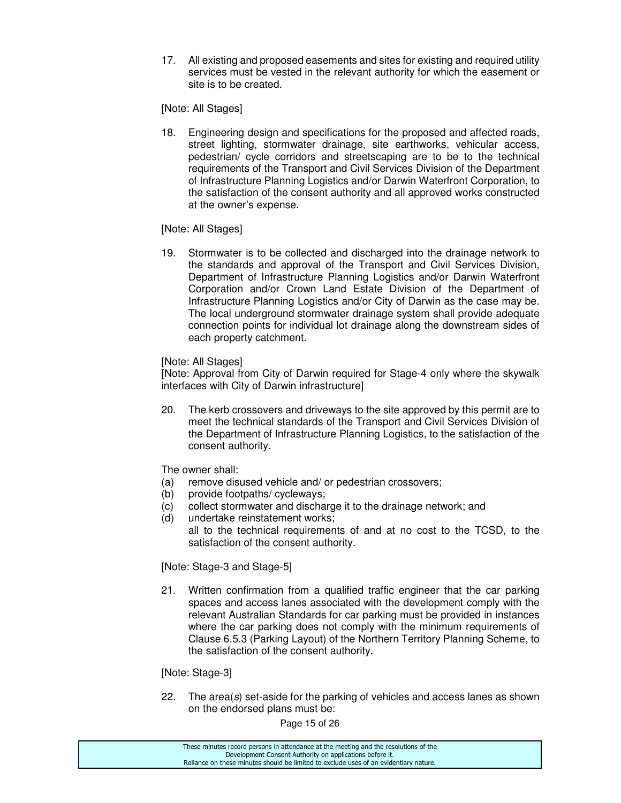17. All existing and proposed easements and sites for existing and required utility services must be vested in the relevant authority for which the easement or site is to be created.

[Note: All Stages]

18. Engineering design and specifications for the proposed and affected roads, street lighting, stormwater drainage, site earthworks, vehicular access, pedestrian/ cycle corridors and streetscaping are to be to the technical requirements of the Transport and Civil Services Division of the Department of Infrastructure Planning Logistics and/or Darwin Waterfront Corporation, to the satisfaction of the consent authority and all approved works constructed at the owner's expense.

# [Note: All Stages]

19. Stormwater is to be collected and discharged into the drainage network to the standards and approval of the Transport and Civil Services Division, Department of Infrastructure Planning Logistics and/or Darwin Waterfront Corporation and/or Crown Land Estate Division of the Department of Infrastructure Planning Logistics and/or City of Darwin as the case may be. The local underground stormwater drainage system shall provide adequate connection points for individual lot drainage along the downstream sides of each property catchment.

#### [Note: All Stages]

[Note: Approval from City of Darwin required for Stage-4 only where the skywalk interfaces with City of Darwin infrastructure]

20. The kerb crossovers and driveways to the site approved by this permit are to meet the technical standards of the Transport and Civil Services Division of the Department of Infrastructure Planning Logistics, to the satisfaction of the consent authority.

The owner shall:

- (a) remove disused vehicle and/ or pedestrian crossovers;
- (b) provide footpaths/ cycleways;
- (c) collect stormwater and discharge it to the drainage network; and
- (d) undertake reinstatement works; all to the technical requirements of and at no cost to the TCSD, to the satisfaction of the consent authority.

[Note: Stage-3 and Stage-5]

21. Written confirmation from a qualified traffic engineer that the car parking spaces and access lanes associated with the development comply with the relevant Australian Standards for car parking must be provided in instances where the car parking does not comply with the minimum requirements of Clause 6.5.3 (Parking Layout) of the Northern Territory Planning Scheme, to the satisfaction of the consent authority.

[Note: Stage-3]

22. The area(s) set-aside for the parking of vehicles and access lanes as shown on the endorsed plans must be:

Page 15 of 26

| These minutes record persons in attendance at the meeting and the resolutions of the  |
|---------------------------------------------------------------------------------------|
| Development Consent Authority on applications before it.                              |
| Reliance on these minutes should be limited to exclude uses of an evidentiary nature. |
|                                                                                       |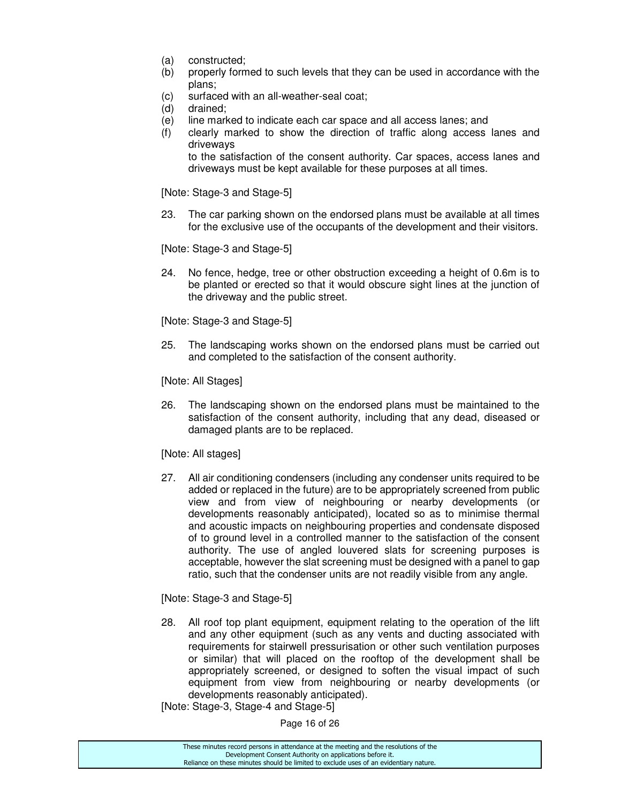- (a) constructed;
- (b) properly formed to such levels that they can be used in accordance with the plans;
- (c) surfaced with an all-weather-seal coat;
- (d) drained;
- (e) line marked to indicate each car space and all access lanes; and
- (f) clearly marked to show the direction of traffic along access lanes and driveways

 to the satisfaction of the consent authority. Car spaces, access lanes and driveways must be kept available for these purposes at all times.

[Note: Stage-3 and Stage-5]

23. The car parking shown on the endorsed plans must be available at all times for the exclusive use of the occupants of the development and their visitors.

[Note: Stage-3 and Stage-5]

24. No fence, hedge, tree or other obstruction exceeding a height of 0.6m is to be planted or erected so that it would obscure sight lines at the junction of the driveway and the public street.

[Note: Stage-3 and Stage-5]

25. The landscaping works shown on the endorsed plans must be carried out and completed to the satisfaction of the consent authority.

[Note: All Stages]

26. The landscaping shown on the endorsed plans must be maintained to the satisfaction of the consent authority, including that any dead, diseased or damaged plants are to be replaced.

[Note: All stages]

27. All air conditioning condensers (including any condenser units required to be added or replaced in the future) are to be appropriately screened from public view and from view of neighbouring or nearby developments (or developments reasonably anticipated), located so as to minimise thermal and acoustic impacts on neighbouring properties and condensate disposed of to ground level in a controlled manner to the satisfaction of the consent authority. The use of angled louvered slats for screening purposes is acceptable, however the slat screening must be designed with a panel to gap ratio, such that the condenser units are not readily visible from any angle.

[Note: Stage-3 and Stage-5]

28. All roof top plant equipment, equipment relating to the operation of the lift and any other equipment (such as any vents and ducting associated with requirements for stairwell pressurisation or other such ventilation purposes or similar) that will placed on the rooftop of the development shall be appropriately screened, or designed to soften the visual impact of such equipment from view from neighbouring or nearby developments (or developments reasonably anticipated).

[Note: Stage-3, Stage-4 and Stage-5]

Page 16 of 26

| These minutes record persons in attendance at the meeting and the resolutions of the  |  |
|---------------------------------------------------------------------------------------|--|
| Development Consent Authority on applications before it.                              |  |
| Reliance on these minutes should be limited to exclude uses of an evidentiary nature. |  |
|                                                                                       |  |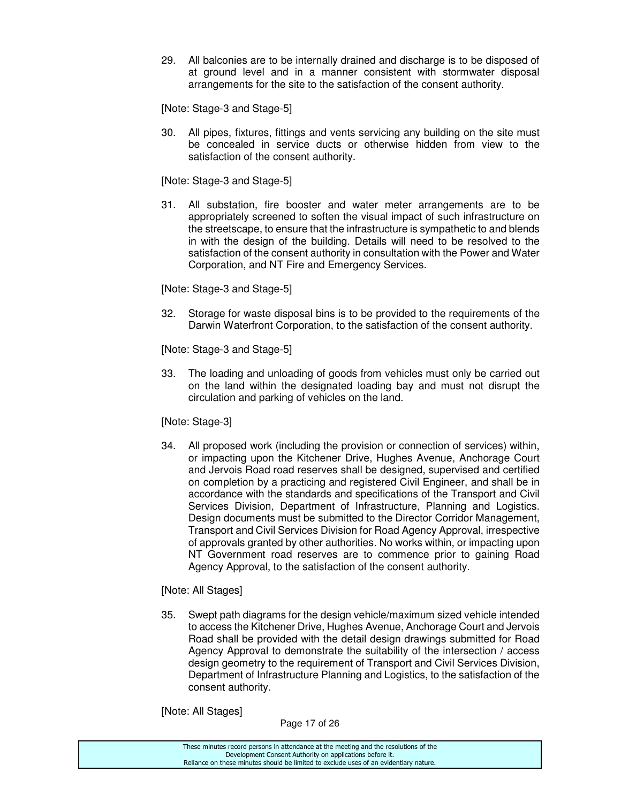29. All balconies are to be internally drained and discharge is to be disposed of at ground level and in a manner consistent with stormwater disposal arrangements for the site to the satisfaction of the consent authority.

[Note: Stage-3 and Stage-5]

30. All pipes, fixtures, fittings and vents servicing any building on the site must be concealed in service ducts or otherwise hidden from view to the satisfaction of the consent authority.

[Note: Stage-3 and Stage-5]

31. All substation, fire booster and water meter arrangements are to be appropriately screened to soften the visual impact of such infrastructure on the streetscape, to ensure that the infrastructure is sympathetic to and blends in with the design of the building. Details will need to be resolved to the satisfaction of the consent authority in consultation with the Power and Water Corporation, and NT Fire and Emergency Services.

[Note: Stage-3 and Stage-5]

32. Storage for waste disposal bins is to be provided to the requirements of the Darwin Waterfront Corporation, to the satisfaction of the consent authority.

[Note: Stage-3 and Stage-5]

33. The loading and unloading of goods from vehicles must only be carried out on the land within the designated loading bay and must not disrupt the circulation and parking of vehicles on the land.

[Note: Stage-3]

34. All proposed work (including the provision or connection of services) within, or impacting upon the Kitchener Drive, Hughes Avenue, Anchorage Court and Jervois Road road reserves shall be designed, supervised and certified on completion by a practicing and registered Civil Engineer, and shall be in accordance with the standards and specifications of the Transport and Civil Services Division, Department of Infrastructure, Planning and Logistics. Design documents must be submitted to the Director Corridor Management, Transport and Civil Services Division for Road Agency Approval, irrespective of approvals granted by other authorities. No works within, or impacting upon NT Government road reserves are to commence prior to gaining Road Agency Approval, to the satisfaction of the consent authority.

# [Note: All Stages]

35. Swept path diagrams for the design vehicle/maximum sized vehicle intended to access the Kitchener Drive, Hughes Avenue, Anchorage Court and Jervois Road shall be provided with the detail design drawings submitted for Road Agency Approval to demonstrate the suitability of the intersection / access design geometry to the requirement of Transport and Civil Services Division, Department of Infrastructure Planning and Logistics, to the satisfaction of the consent authority.

[Note: All Stages]

Page 17 of 26

| These minutes record persons in attendance at the meeting and the resolutions of the  |
|---------------------------------------------------------------------------------------|
| Development Consent Authority on applications before it.                              |
| Reliance on these minutes should be limited to exclude uses of an evidentiary nature. |
|                                                                                       |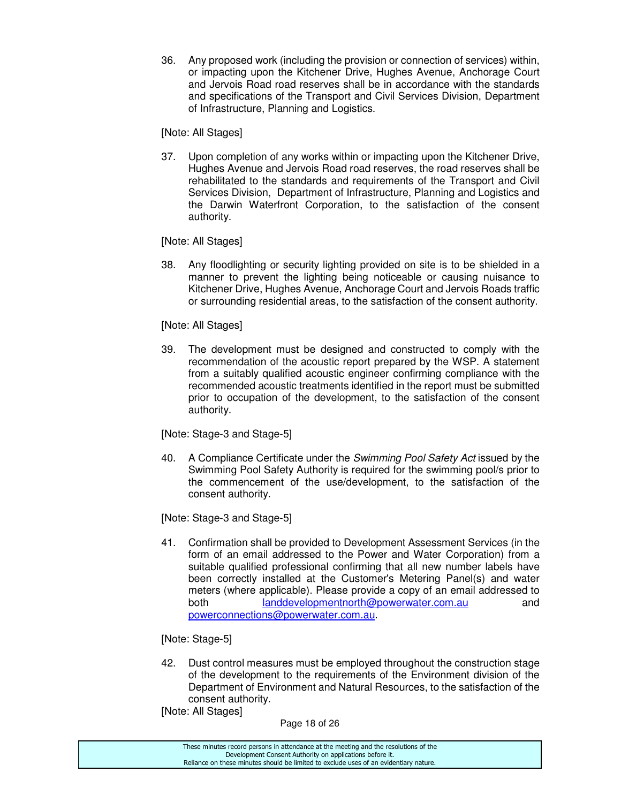36. Any proposed work (including the provision or connection of services) within, or impacting upon the Kitchener Drive, Hughes Avenue, Anchorage Court and Jervois Road road reserves shall be in accordance with the standards and specifications of the Transport and Civil Services Division, Department of Infrastructure, Planning and Logistics.

[Note: All Stages]

37. Upon completion of any works within or impacting upon the Kitchener Drive, Hughes Avenue and Jervois Road road reserves, the road reserves shall be rehabilitated to the standards and requirements of the Transport and Civil Services Division, Department of Infrastructure, Planning and Logistics and the Darwin Waterfront Corporation, to the satisfaction of the consent authority.

[Note: All Stages]

38. Any floodlighting or security lighting provided on site is to be shielded in a manner to prevent the lighting being noticeable or causing nuisance to Kitchener Drive, Hughes Avenue, Anchorage Court and Jervois Roads traffic or surrounding residential areas, to the satisfaction of the consent authority.

[Note: All Stages]

39. The development must be designed and constructed to comply with the recommendation of the acoustic report prepared by the WSP. A statement from a suitably qualified acoustic engineer confirming compliance with the recommended acoustic treatments identified in the report must be submitted prior to occupation of the development, to the satisfaction of the consent authority.

[Note: Stage-3 and Stage-5]

40. A Compliance Certificate under the Swimming Pool Safety Act issued by the Swimming Pool Safety Authority is required for the swimming pool/s prior to the commencement of the use/development, to the satisfaction of the consent authority.

[Note: Stage-3 and Stage-5]

41. Confirmation shall be provided to Development Assessment Services (in the form of an email addressed to the Power and Water Corporation) from a suitable qualified professional confirming that all new number labels have been correctly installed at the Customer's Metering Panel(s) and water meters (where applicable). Please provide a copy of an email addressed to both landdevelopmentnorth@powerwater.com.au and powerconnections@powerwater.com.au.

[Note: Stage-5]

42. Dust control measures must be employed throughout the construction stage of the development to the requirements of the Environment division of the Department of Environment and Natural Resources, to the satisfaction of the consent authority.

[Note: All Stages]

Page 18 of 26

| These minutes record persons in attendance at the meeting and the resolutions of the  |
|---------------------------------------------------------------------------------------|
| Development Consent Authority on applications before it.                              |
| Reliance on these minutes should be limited to exclude uses of an evidentiary nature. |
|                                                                                       |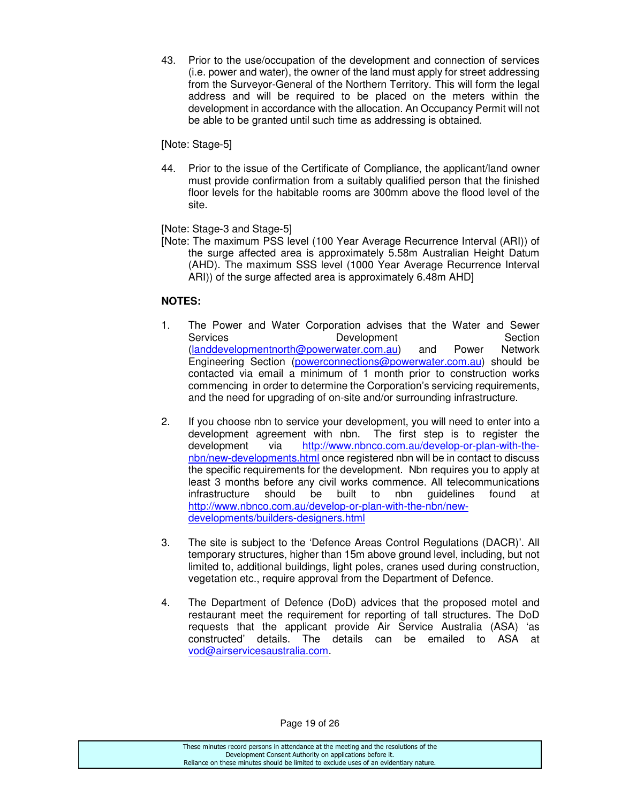43. Prior to the use/occupation of the development and connection of services (i.e. power and water), the owner of the land must apply for street addressing from the Surveyor-General of the Northern Territory. This will form the legal address and will be required to be placed on the meters within the development in accordance with the allocation. An Occupancy Permit will not be able to be granted until such time as addressing is obtained.

[Note: Stage-5]

44. Prior to the issue of the Certificate of Compliance, the applicant/land owner must provide confirmation from a suitably qualified person that the finished floor levels for the habitable rooms are 300mm above the flood level of the site.

[Note: Stage-3 and Stage-5]

[Note: The maximum PSS level (100 Year Average Recurrence Interval (ARI)) of the surge affected area is approximately 5.58m Australian Height Datum (AHD). The maximum SSS level (1000 Year Average Recurrence Interval ARI)) of the surge affected area is approximately 6.48m AHD]

# **NOTES:**

- 1. The Power and Water Corporation advises that the Water and Sewer Services **Development** Development Section (landdevelopmentnorth@powerwater.com.au) and Power Network Engineering Section (powerconnections@powerwater.com.au) should be contacted via email a minimum of 1 month prior to construction works commencing in order to determine the Corporation's servicing requirements, and the need for upgrading of on-site and/or surrounding infrastructure.
- 2. If you choose nbn to service your development, you will need to enter into a development agreement with nbn. The first step is to register the development via http://www.nbnco.com.au/develop-or-plan-with-thenbn/new-developments.html once registered nbn will be in contact to discuss the specific requirements for the development. Nbn requires you to apply at least 3 months before any civil works commence. All telecommunications infrastructure should be built to nbn guidelines found at http://www.nbnco.com.au/develop-or-plan-with-the-nbn/newdevelopments/builders-designers.html
- 3. The site is subject to the 'Defence Areas Control Regulations (DACR)'. All temporary structures, higher than 15m above ground level, including, but not limited to, additional buildings, light poles, cranes used during construction, vegetation etc., require approval from the Department of Defence.
- 4. The Department of Defence (DoD) advices that the proposed motel and restaurant meet the requirement for reporting of tall structures. The DoD requests that the applicant provide Air Service Australia (ASA) 'as constructed' details. The details can be emailed to ASA at vod@airservicesaustralia.com.

Page 19 of 26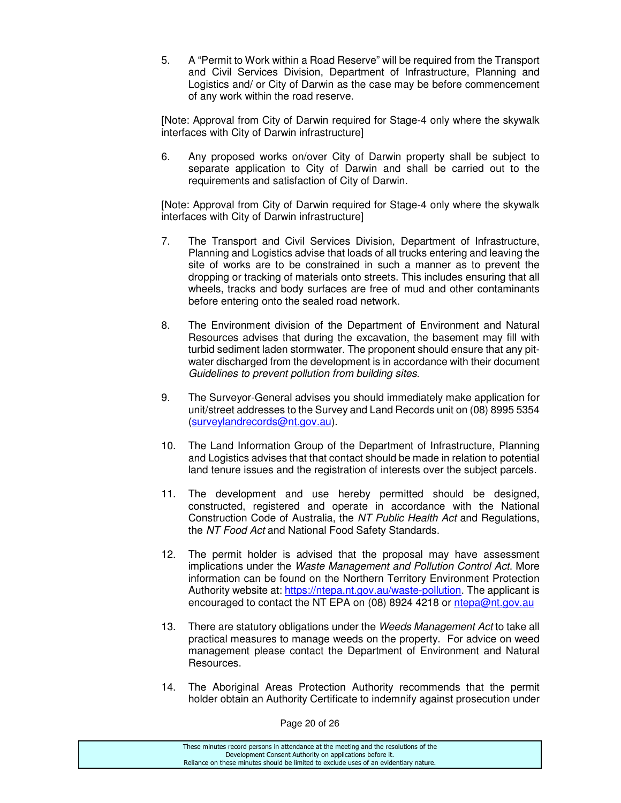5. A "Permit to Work within a Road Reserve" will be required from the Transport and Civil Services Division, Department of Infrastructure, Planning and Logistics and/ or City of Darwin as the case may be before commencement of any work within the road reserve.

[Note: Approval from City of Darwin required for Stage-4 only where the skywalk interfaces with City of Darwin infrastructure]

6. Any proposed works on/over City of Darwin property shall be subject to separate application to City of Darwin and shall be carried out to the requirements and satisfaction of City of Darwin.

[Note: Approval from City of Darwin required for Stage-4 only where the skywalk interfaces with City of Darwin infrastructure]

- 7. The Transport and Civil Services Division, Department of Infrastructure, Planning and Logistics advise that loads of all trucks entering and leaving the site of works are to be constrained in such a manner as to prevent the dropping or tracking of materials onto streets. This includes ensuring that all wheels, tracks and body surfaces are free of mud and other contaminants before entering onto the sealed road network.
- 8. The Environment division of the Department of Environment and Natural Resources advises that during the excavation, the basement may fill with turbid sediment laden stormwater. The proponent should ensure that any pitwater discharged from the development is in accordance with their document Guidelines to prevent pollution from building sites.
- 9. The Surveyor-General advises you should immediately make application for unit/street addresses to the Survey and Land Records unit on (08) 8995 5354 (surveylandrecords@nt.gov.au).
- 10. The Land Information Group of the Department of Infrastructure, Planning and Logistics advises that that contact should be made in relation to potential land tenure issues and the registration of interests over the subject parcels.
- 11. The development and use hereby permitted should be designed, constructed, registered and operate in accordance with the National Construction Code of Australia, the NT Public Health Act and Regulations, the NT Food Act and National Food Safety Standards.
- 12. The permit holder is advised that the proposal may have assessment implications under the Waste Management and Pollution Control Act. More information can be found on the Northern Territory Environment Protection Authority website at: https://ntepa.nt.gov.au/waste-pollution. The applicant is encouraged to contact the NT EPA on (08) 8924 4218 or ntepa@nt.gov.au
- 13. There are statutory obligations under the Weeds Management Act to take all practical measures to manage weeds on the property. For advice on weed management please contact the Department of Environment and Natural Resources.
- 14. The Aboriginal Areas Protection Authority recommends that the permit holder obtain an Authority Certificate to indemnify against prosecution under

Page 20 of 26

| These minutes record persons in attendance at the meeting and the resolutions of the  |
|---------------------------------------------------------------------------------------|
| Development Consent Authority on applications before it.                              |
| Reliance on these minutes should be limited to exclude uses of an evidentiary nature. |
|                                                                                       |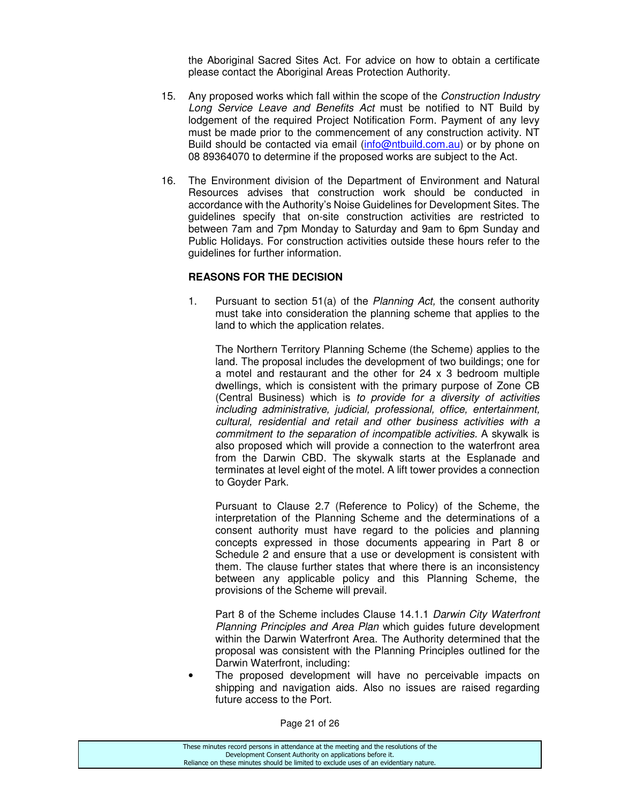the Aboriginal Sacred Sites Act. For advice on how to obtain a certificate please contact the Aboriginal Areas Protection Authority.

- 15. Any proposed works which fall within the scope of the Construction Industry Long Service Leave and Benefits Act must be notified to NT Build by lodgement of the required Project Notification Form. Payment of any levy must be made prior to the commencement of any construction activity. NT Build should be contacted via email (info@ntbuild.com.au) or by phone on 08 89364070 to determine if the proposed works are subject to the Act.
- 16. The Environment division of the Department of Environment and Natural Resources advises that construction work should be conducted in accordance with the Authority's Noise Guidelines for Development Sites. The guidelines specify that on-site construction activities are restricted to between 7am and 7pm Monday to Saturday and 9am to 6pm Sunday and Public Holidays. For construction activities outside these hours refer to the guidelines for further information.

# **REASONS FOR THE DECISION**

1. Pursuant to section 51(a) of the Planning Act, the consent authority must take into consideration the planning scheme that applies to the land to which the application relates.

The Northern Territory Planning Scheme (the Scheme) applies to the land. The proposal includes the development of two buildings; one for a motel and restaurant and the other for 24 x 3 bedroom multiple dwellings, which is consistent with the primary purpose of Zone CB (Central Business) which is to provide for a diversity of activities including administrative, judicial, professional, office, entertainment, cultural, residential and retail and other business activities with a commitment to the separation of incompatible activities. A skywalk is also proposed which will provide a connection to the waterfront area from the Darwin CBD. The skywalk starts at the Esplanade and terminates at level eight of the motel. A lift tower provides a connection to Goyder Park.

 Pursuant to Clause 2.7 (Reference to Policy) of the Scheme, the interpretation of the Planning Scheme and the determinations of a consent authority must have regard to the policies and planning concepts expressed in those documents appearing in Part 8 or Schedule 2 and ensure that a use or development is consistent with them. The clause further states that where there is an inconsistency between any applicable policy and this Planning Scheme, the provisions of the Scheme will prevail.

 Part 8 of the Scheme includes Clause 14.1.1 Darwin City Waterfront Planning Principles and Area Plan which guides future development within the Darwin Waterfront Area. The Authority determined that the proposal was consistent with the Planning Principles outlined for the Darwin Waterfront, including:

The proposed development will have no perceivable impacts on shipping and navigation aids. Also no issues are raised regarding future access to the Port.

Page 21 of 26

| These minutes record persons in attendance at the meeting and the resolutions of the  |
|---------------------------------------------------------------------------------------|
| Development Consent Authority on applications before it.                              |
| Reliance on these minutes should be limited to exclude uses of an evidentiary nature. |
|                                                                                       |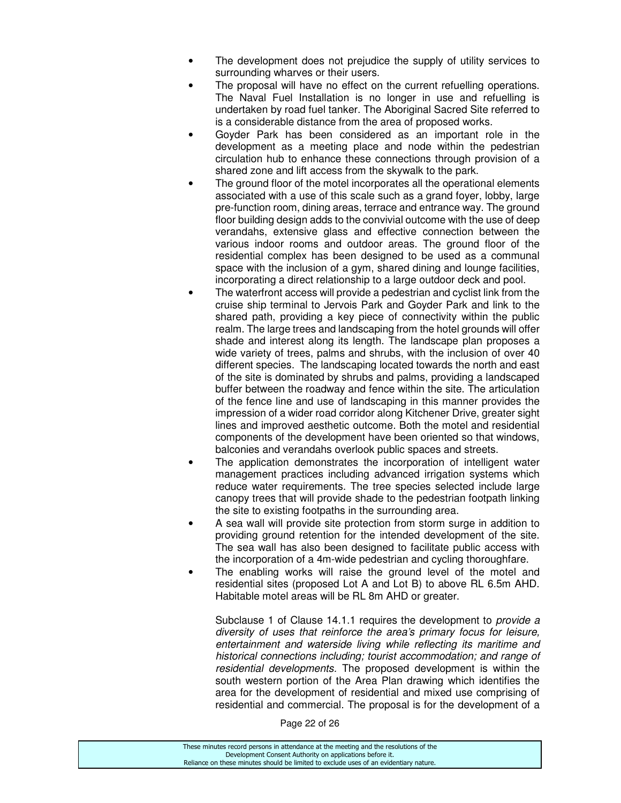- The development does not prejudice the supply of utility services to surrounding wharves or their users.
- The proposal will have no effect on the current refuelling operations. The Naval Fuel Installation is no longer in use and refuelling is undertaken by road fuel tanker. The Aboriginal Sacred Site referred to is a considerable distance from the area of proposed works.
- Goyder Park has been considered as an important role in the development as a meeting place and node within the pedestrian circulation hub to enhance these connections through provision of a shared zone and lift access from the skywalk to the park.
- The ground floor of the motel incorporates all the operational elements associated with a use of this scale such as a grand foyer, lobby, large pre-function room, dining areas, terrace and entrance way. The ground floor building design adds to the convivial outcome with the use of deep verandahs, extensive glass and effective connection between the various indoor rooms and outdoor areas. The ground floor of the residential complex has been designed to be used as a communal space with the inclusion of a gym, shared dining and lounge facilities, incorporating a direct relationship to a large outdoor deck and pool.
- The waterfront access will provide a pedestrian and cyclist link from the cruise ship terminal to Jervois Park and Goyder Park and link to the shared path, providing a key piece of connectivity within the public realm. The large trees and landscaping from the hotel grounds will offer shade and interest along its length. The landscape plan proposes a wide variety of trees, palms and shrubs, with the inclusion of over 40 different species. The landscaping located towards the north and east of the site is dominated by shrubs and palms, providing a landscaped buffer between the roadway and fence within the site. The articulation of the fence line and use of landscaping in this manner provides the impression of a wider road corridor along Kitchener Drive, greater sight lines and improved aesthetic outcome. Both the motel and residential components of the development have been oriented so that windows, balconies and verandahs overlook public spaces and streets.
- The application demonstrates the incorporation of intelligent water management practices including advanced irrigation systems which reduce water requirements. The tree species selected include large canopy trees that will provide shade to the pedestrian footpath linking the site to existing footpaths in the surrounding area.
- A sea wall will provide site protection from storm surge in addition to providing ground retention for the intended development of the site. The sea wall has also been designed to facilitate public access with the incorporation of a 4m-wide pedestrian and cycling thoroughfare.
- The enabling works will raise the ground level of the motel and residential sites (proposed Lot A and Lot B) to above RL 6.5m AHD. Habitable motel areas will be RL 8m AHD or greater.

Subclause 1 of Clause 14.1.1 requires the development to *provide a* diversity of uses that reinforce the area's primary focus for leisure, entertainment and waterside living while reflecting its maritime and historical connections including; tourist accommodation; and range of residential developments. The proposed development is within the south western portion of the Area Plan drawing which identifies the area for the development of residential and mixed use comprising of residential and commercial. The proposal is for the development of a

Page 22 of 26

| These minutes record persons in attendance at the meeting and the resolutions of the  |  |
|---------------------------------------------------------------------------------------|--|
| Development Consent Authority on applications before it.                              |  |
| Reliance on these minutes should be limited to exclude uses of an evidentiary nature. |  |
|                                                                                       |  |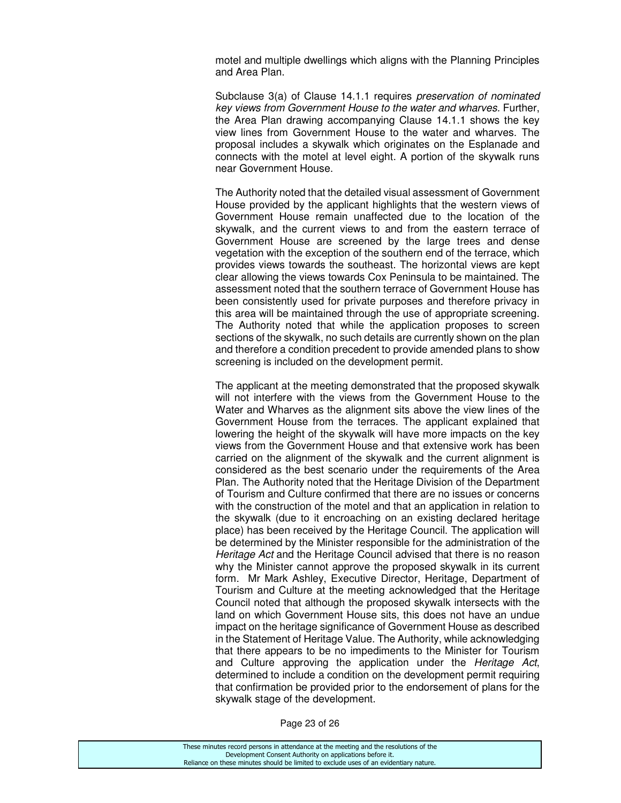motel and multiple dwellings which aligns with the Planning Principles and Area Plan.

 Subclause 3(a) of Clause 14.1.1 requires preservation of nominated key views from Government House to the water and wharves. Further, the Area Plan drawing accompanying Clause 14.1.1 shows the key view lines from Government House to the water and wharves. The proposal includes a skywalk which originates on the Esplanade and connects with the motel at level eight. A portion of the skywalk runs near Government House.

 The Authority noted that the detailed visual assessment of Government House provided by the applicant highlights that the western views of Government House remain unaffected due to the location of the skywalk, and the current views to and from the eastern terrace of Government House are screened by the large trees and dense vegetation with the exception of the southern end of the terrace, which provides views towards the southeast. The horizontal views are kept clear allowing the views towards Cox Peninsula to be maintained. The assessment noted that the southern terrace of Government House has been consistently used for private purposes and therefore privacy in this area will be maintained through the use of appropriate screening. The Authority noted that while the application proposes to screen sections of the skywalk, no such details are currently shown on the plan and therefore a condition precedent to provide amended plans to show screening is included on the development permit.

The applicant at the meeting demonstrated that the proposed skywalk will not interfere with the views from the Government House to the Water and Wharves as the alignment sits above the view lines of the Government House from the terraces. The applicant explained that lowering the height of the skywalk will have more impacts on the key views from the Government House and that extensive work has been carried on the alignment of the skywalk and the current alignment is considered as the best scenario under the requirements of the Area Plan. The Authority noted that the Heritage Division of the Department of Tourism and Culture confirmed that there are no issues or concerns with the construction of the motel and that an application in relation to the skywalk (due to it encroaching on an existing declared heritage place) has been received by the Heritage Council. The application will be determined by the Minister responsible for the administration of the Heritage Act and the Heritage Council advised that there is no reason why the Minister cannot approve the proposed skywalk in its current form. Mr Mark Ashley, Executive Director, Heritage, Department of Tourism and Culture at the meeting acknowledged that the Heritage Council noted that although the proposed skywalk intersects with the land on which Government House sits, this does not have an undue impact on the heritage significance of Government House as described in the Statement of Heritage Value. The Authority, while acknowledging that there appears to be no impediments to the Minister for Tourism and Culture approving the application under the Heritage Act, determined to include a condition on the development permit requiring that confirmation be provided prior to the endorsement of plans for the skywalk stage of the development.

Page 23 of 26

| These minutes record persons in attendance at the meeting and the resolutions of the  |
|---------------------------------------------------------------------------------------|
| Development Consent Authority on applications before it.                              |
| Reliance on these minutes should be limited to exclude uses of an evidentiary nature. |
|                                                                                       |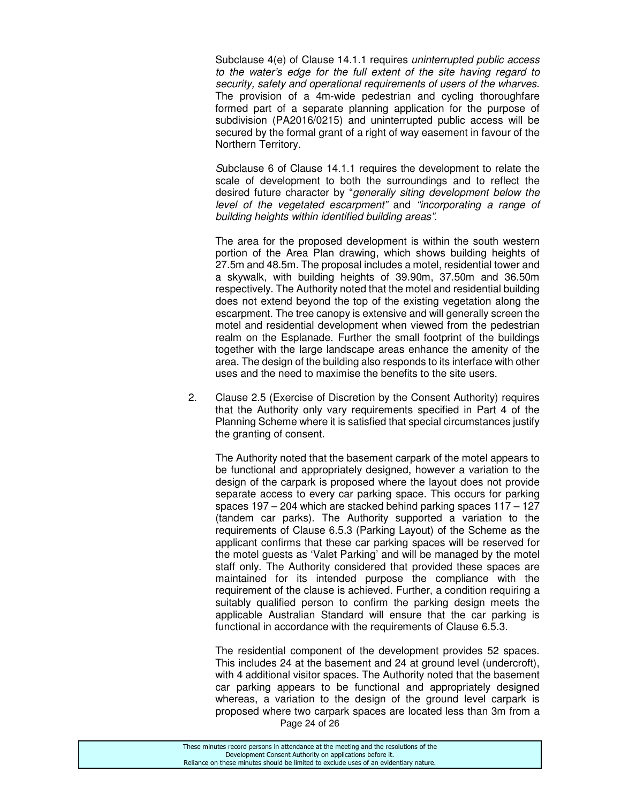Subclause 4(e) of Clause 14.1.1 requires uninterrupted public access to the water's edge for the full extent of the site having regard to security, safety and operational requirements of users of the wharves. The provision of a 4m-wide pedestrian and cycling thoroughfare formed part of a separate planning application for the purpose of subdivision (PA2016/0215) and uninterrupted public access will be secured by the formal grant of a right of way easement in favour of the Northern Territory.

 Subclause 6 of Clause 14.1.1 requires the development to relate the scale of development to both the surroundings and to reflect the desired future character by "generally siting development below the level of the vegetated escarpment" and "incorporating a range of building heights within identified building areas".

The area for the proposed development is within the south western portion of the Area Plan drawing, which shows building heights of 27.5m and 48.5m. The proposal includes a motel, residential tower and a skywalk, with building heights of 39.90m, 37.50m and 36.50m respectively. The Authority noted that the motel and residential building does not extend beyond the top of the existing vegetation along the escarpment. The tree canopy is extensive and will generally screen the motel and residential development when viewed from the pedestrian realm on the Esplanade. Further the small footprint of the buildings together with the large landscape areas enhance the amenity of the area. The design of the building also responds to its interface with other uses and the need to maximise the benefits to the site users.

2. Clause 2.5 (Exercise of Discretion by the Consent Authority) requires that the Authority only vary requirements specified in Part 4 of the Planning Scheme where it is satisfied that special circumstances justify the granting of consent.

 The Authority noted that the basement carpark of the motel appears to be functional and appropriately designed, however a variation to the design of the carpark is proposed where the layout does not provide separate access to every car parking space. This occurs for parking spaces 197 – 204 which are stacked behind parking spaces 117 – 127 (tandem car parks). The Authority supported a variation to the requirements of Clause 6.5.3 (Parking Layout) of the Scheme as the applicant confirms that these car parking spaces will be reserved for the motel guests as 'Valet Parking' and will be managed by the motel staff only. The Authority considered that provided these spaces are maintained for its intended purpose the compliance with the requirement of the clause is achieved. Further, a condition requiring a suitably qualified person to confirm the parking design meets the applicable Australian Standard will ensure that the car parking is functional in accordance with the requirements of Clause 6.5.3.

Page 24 of 26 The residential component of the development provides 52 spaces. This includes 24 at the basement and 24 at ground level (undercroft), with 4 additional visitor spaces. The Authority noted that the basement car parking appears to be functional and appropriately designed whereas, a variation to the design of the ground level carpark is proposed where two carpark spaces are located less than 3m from a

| These minutes record persons in attendance at the meeting and the resolutions of the  |
|---------------------------------------------------------------------------------------|
| Development Consent Authority on applications before it.                              |
| Reliance on these minutes should be limited to exclude uses of an evidentiary nature. |
|                                                                                       |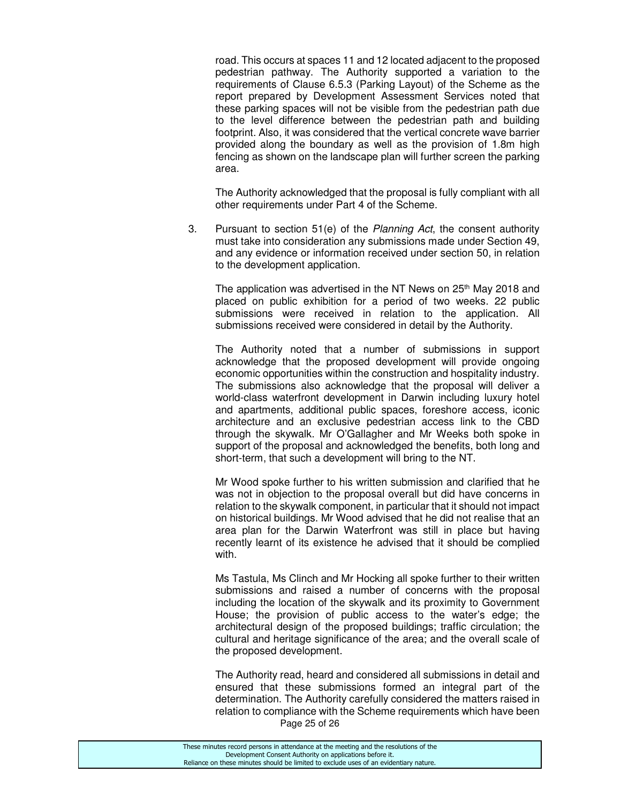road. This occurs at spaces 11 and 12 located adjacent to the proposed pedestrian pathway. The Authority supported a variation to the requirements of Clause 6.5.3 (Parking Layout) of the Scheme as the report prepared by Development Assessment Services noted that these parking spaces will not be visible from the pedestrian path due to the level difference between the pedestrian path and building footprint. Also, it was considered that the vertical concrete wave barrier provided along the boundary as well as the provision of 1.8m high fencing as shown on the landscape plan will further screen the parking area.

 The Authority acknowledged that the proposal is fully compliant with all other requirements under Part 4 of the Scheme.

3. Pursuant to section 51(e) of the Planning Act, the consent authority must take into consideration any submissions made under Section 49, and any evidence or information received under section 50, in relation to the development application.

The application was advertised in the NT News on 25<sup>th</sup> May 2018 and placed on public exhibition for a period of two weeks. 22 public submissions were received in relation to the application. All submissions received were considered in detail by the Authority.

 The Authority noted that a number of submissions in support acknowledge that the proposed development will provide ongoing economic opportunities within the construction and hospitality industry. The submissions also acknowledge that the proposal will deliver a world-class waterfront development in Darwin including luxury hotel and apartments, additional public spaces, foreshore access, iconic architecture and an exclusive pedestrian access link to the CBD through the skywalk. Mr O'Gallagher and Mr Weeks both spoke in support of the proposal and acknowledged the benefits, both long and short-term, that such a development will bring to the NT.

 Mr Wood spoke further to his written submission and clarified that he was not in objection to the proposal overall but did have concerns in relation to the skywalk component, in particular that it should not impact on historical buildings. Mr Wood advised that he did not realise that an area plan for the Darwin Waterfront was still in place but having recently learnt of its existence he advised that it should be complied with.

 Ms Tastula, Ms Clinch and Mr Hocking all spoke further to their written submissions and raised a number of concerns with the proposal including the location of the skywalk and its proximity to Government House; the provision of public access to the water's edge; the architectural design of the proposed buildings; traffic circulation; the cultural and heritage significance of the area; and the overall scale of the proposed development.

Page 25 of 26 The Authority read, heard and considered all submissions in detail and ensured that these submissions formed an integral part of the determination. The Authority carefully considered the matters raised in relation to compliance with the Scheme requirements which have been